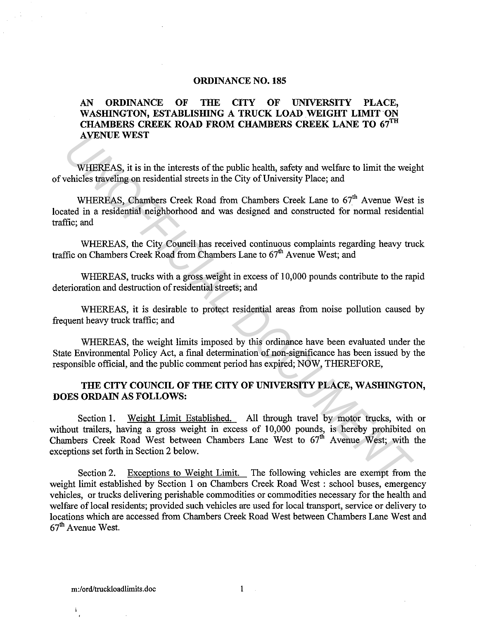## **ORDINANCE NO. 185**

## **AN ORDINANCE OF THE CITY OF UNIVERSITY PLACE,**  WASHINGTON, ESTABLISHING A TRUCK LOAD WEIGHT LIMIT ON **CHAMBERS CREEK ROAD FROM CHAMBERS CREEK LANE TO 67™ AVENUE WEST**

WHEREAS, it is in the interests of the public health, safety and welfare to limit the weight of vehicles traveling on residential streets in the City of University Place; and

WHEREAS, Chambers Creek Road from Chambers Creek Lane to 67<sup>th</sup> Avenue West is located in a residential neighborhood and was designed and constructed for normal residential traffic; and

WHEREAS, the City Council has received continuous complaints regarding heavy truck traffic on Chambers Creek Road from Chambers Lane to  $67<sup>th</sup>$  Avenue West; and

WHEREAS, trucks with a gross weight in excess of 10,000 pounds contribute to the rapid deterioration and destruction of residential streets; and

WHEREAS, it is desirable to protect residential areas from noise pollution caused by frequent heavy truck traffic; and

WHEREAS, the weight limits imposed by this ordinance have been evaluated under the State Environmental Policy Act, a final determination of non-significance has been issued by the responsible official, and the public comment period has expired; NOW, THEREFORE,

## **THE CITY COUNCIL OF THE CITY OF UNIVERSITY PLACE, WASHINGTON, DOES ORDAIN AS FOLLOWS:**

Section **1.** Weight Limit Established. All through travel by motor trucks, with or without trailers, having a gross weight in excess of 10,000 pounds, is hereby prohibited on Chambers Creek Road West between Chambers Lane West to  $67<sup>th</sup>$  Avenue West; with the exceptions set forth in Section 2 below. **AVENUE WEST**<br>
WHEREAS, it is in the interests of the public health, safety and welfrare to limit the weig<br>
vehicles traveling on residential streets in the City of University Place; and<br>
WHEREAS, Chambers Creek Road from

Section 2. Exceptions to Weight Limit. The following vehicles are exempt from the weight limit established by Section **1** on Chambers Creek Road West : school buses, emergency vehicles, or trucks delivering perishable commodities or commodities necessary for the health and welfare of local residents; provided such vehicles are used for local transport, service or delivery to locations which are accessed from Chambers Creek Road West between Chambers Lane West and  $67<sup>th</sup>$  Avenue West.